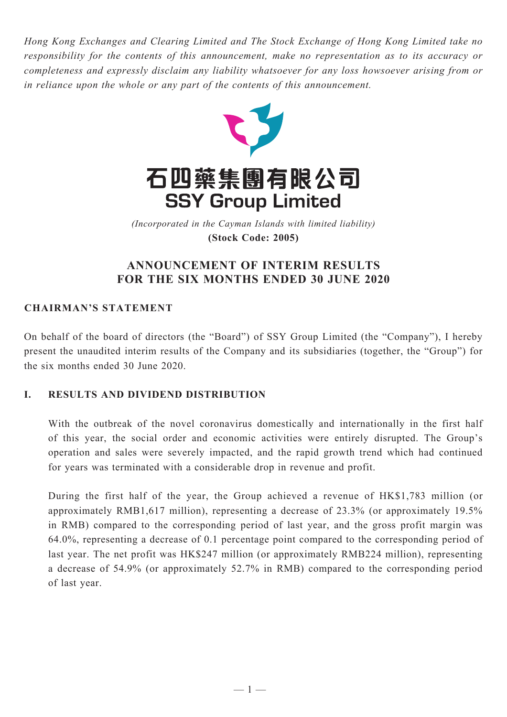*Hong Kong Exchanges and Clearing Limited and The Stock Exchange of Hong Kong Limited take no responsibility for the contents of this announcement, make no representation as to its accuracy or completeness and expressly disclaim any liability whatsoever for any loss howsoever arising from or in reliance upon the whole or any part of the contents of this announcement.*



(Incorporated in the Cayman Islands with limited liability) *(Incorporated in the Cayman Islands with limited liability)* **(Stock Code: 2005) (Stock Code: 2005)**

# **ANNOUNCEMENT OF INTERIM RESULTS FOR THE SIX MONTHS ENDED 30 JUNE 2020**

# **CHAIRMAN'S STATEMENT**

On behalf of the board of directors (the "Board") of SSY Group Limited (the "Company"), I hereby present the unaudited interim results of the Company and its subsidiaries (together, the "Group") for the six months ended 30 June 2020.

# **I. RESULTS AND DIVIDEND DISTRIBUTION**

With the outbreak of the novel coronavirus domestically and internationally in the first half of this year, the social order and economic activities were entirely disrupted. The Group's operation and sales were severely impacted, and the rapid growth trend which had continued for years was terminated with a considerable drop in revenue and profit.

During the first half of the year, the Group achieved a revenue of HK\$1,783 million (or approximately RMB1,617 million), representing a decrease of 23.3% (or approximately 19.5% in RMB) compared to the corresponding period of last year, and the gross profit margin was 64.0%, representing a decrease of 0.1 percentage point compared to the corresponding period of last year. The net profit was HK\$247 million (or approximately RMB224 million), representing a decrease of 54.9% (or approximately 52.7% in RMB) compared to the corresponding period of last year.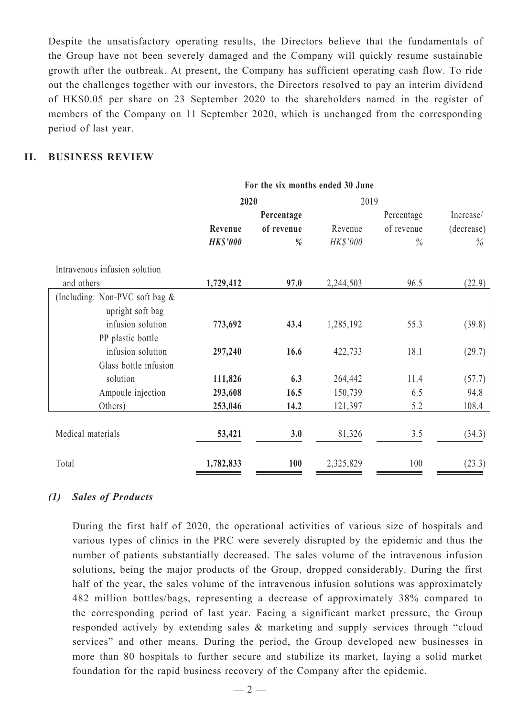Despite the unsatisfactory operating results, the Directors believe that the fundamentals of the Group have not been severely damaged and the Company will quickly resume sustainable growth after the outbreak. At present, the Company has sufficient operating cash flow. To ride out the challenges together with our investors, the Directors resolved to pay an interim dividend of HK\$0.05 per share on 23 September 2020 to the shareholders named in the register of members of the Company on 11 September 2020, which is unchanged from the corresponding period of last year.

# **II. Business Review**

|                                |                 | For the six months ended 30 June |           |            |            |
|--------------------------------|-----------------|----------------------------------|-----------|------------|------------|
|                                | 2020            |                                  | 2019      |            |            |
|                                |                 | Percentage                       |           | Percentage | Increase/  |
|                                | Revenue         | of revenue                       | Revenue   | of revenue | (decrease) |
|                                | <b>HK\$'000</b> | $\frac{0}{0}$                    | HK\$'000  | $\%$       | $\%$       |
| Intravenous infusion solution  |                 |                                  |           |            |            |
| and others                     | 1,729,412       | 97.0                             | 2,244,503 | 96.5       | (22.9)     |
| (Including: Non-PVC soft bag & |                 |                                  |           |            |            |
| upright soft bag               |                 |                                  |           |            |            |
| infusion solution              | 773,692         | 43.4                             | 1,285,192 | 55.3       | (39.8)     |
| PP plastic bottle              |                 |                                  |           |            |            |
| infusion solution              | 297,240         | 16.6                             | 422,733   | 18.1       | (29.7)     |
| Glass bottle infusion          |                 |                                  |           |            |            |
| solution                       | 111,826         | 6.3                              | 264,442   | 11.4       | (57.7)     |
| Ampoule injection              | 293,608         | 16.5                             | 150,739   | 6.5        | 94.8       |
| Others)                        | 253,046         | 14.2                             | 121,397   | 5.2        | 108.4      |
| Medical materials              | 53,421          | 3.0                              | 81,326    | 3.5        | (34.3)     |
|                                |                 |                                  |           |            |            |
| Total                          | 1,782,833       | <b>100</b>                       | 2,325,829 | 100        | (23.3)     |

#### *(1) Sales of Products*

During the first half of 2020, the operational activities of various size of hospitals and various types of clinics in the PRC were severely disrupted by the epidemic and thus the number of patients substantially decreased. The sales volume of the intravenous infusion solutions, being the major products of the Group, dropped considerably. During the first half of the year, the sales volume of the intravenous infusion solutions was approximately 482 million bottles/bags, representing a decrease of approximately 38% compared to the corresponding period of last year. Facing a significant market pressure, the Group responded actively by extending sales & marketing and supply services through "cloud services" and other means. During the period, the Group developed new businesses in more than 80 hospitals to further secure and stabilize its market, laying a solid market foundation for the rapid business recovery of the Company after the epidemic.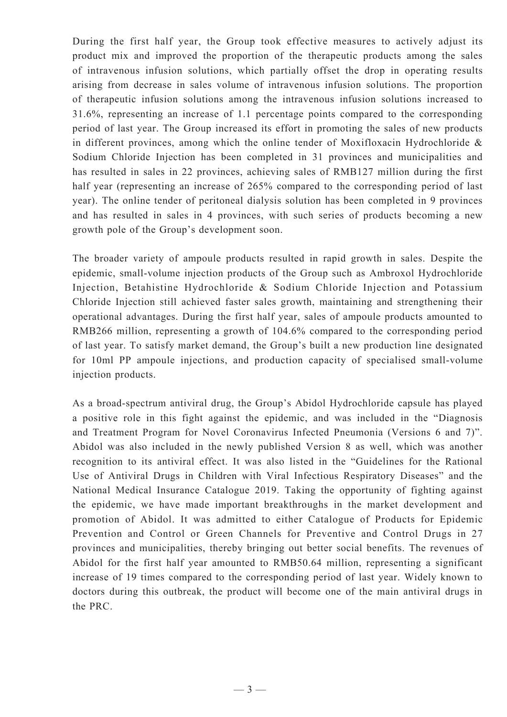During the first half year, the Group took effective measures to actively adjust its product mix and improved the proportion of the therapeutic products among the sales of intravenous infusion solutions, which partially offset the drop in operating results arising from decrease in sales volume of intravenous infusion solutions. The proportion of therapeutic infusion solutions among the intravenous infusion solutions increased to 31.6%, representing an increase of 1.1 percentage points compared to the corresponding period of last year. The Group increased its effort in promoting the sales of new products in different provinces, among which the online tender of Moxifloxacin Hydrochloride & Sodium Chloride Injection has been completed in 31 provinces and municipalities and has resulted in sales in 22 provinces, achieving sales of RMB127 million during the first half year (representing an increase of 265% compared to the corresponding period of last year). The online tender of peritoneal dialysis solution has been completed in 9 provinces and has resulted in sales in 4 provinces, with such series of products becoming a new growth pole of the Group's development soon.

The broader variety of ampoule products resulted in rapid growth in sales. Despite the epidemic, small-volume injection products of the Group such as Ambroxol Hydrochloride Injection, Betahistine Hydrochloride & Sodium Chloride Injection and Potassium Chloride Injection still achieved faster sales growth, maintaining and strengthening their operational advantages. During the first half year, sales of ampoule products amounted to RMB266 million, representing a growth of 104.6% compared to the corresponding period of last year. To satisfy market demand, the Group's built a new production line designated for 10ml PP ampoule injections, and production capacity of specialised small-volume injection products.

As a broad-spectrum antiviral drug, the Group's Abidol Hydrochloride capsule has played a positive role in this fight against the epidemic, and was included in the "Diagnosis and Treatment Program for Novel Coronavirus Infected Pneumonia (Versions 6 and 7)". Abidol was also included in the newly published Version 8 as well, which was another recognition to its antiviral effect. It was also listed in the "Guidelines for the Rational Use of Antiviral Drugs in Children with Viral Infectious Respiratory Diseases" and the National Medical Insurance Catalogue 2019. Taking the opportunity of fighting against the epidemic, we have made important breakthroughs in the market development and promotion of Abidol. It was admitted to either Catalogue of Products for Epidemic Prevention and Control or Green Channels for Preventive and Control Drugs in 27 provinces and municipalities, thereby bringing out better social benefits. The revenues of Abidol for the first half year amounted to RMB50.64 million, representing a significant increase of 19 times compared to the corresponding period of last year. Widely known to doctors during this outbreak, the product will become one of the main antiviral drugs in the PRC.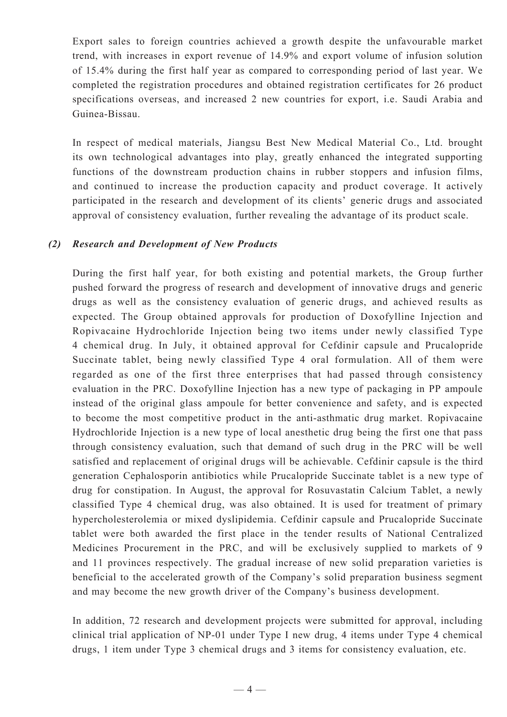Export sales to foreign countries achieved a growth despite the unfavourable market trend, with increases in export revenue of 14.9% and export volume of infusion solution of 15.4% during the first half year as compared to corresponding period of last year. We completed the registration procedures and obtained registration certificates for 26 product specifications overseas, and increased 2 new countries for export, i.e. Saudi Arabia and Guinea-Bissau.

In respect of medical materials, Jiangsu Best New Medical Material Co., Ltd. brought its own technological advantages into play, greatly enhanced the integrated supporting functions of the downstream production chains in rubber stoppers and infusion films, and continued to increase the production capacity and product coverage. It actively participated in the research and development of its clients' generic drugs and associated approval of consistency evaluation, further revealing the advantage of its product scale.

### *(2) Research and Development of New Products*

During the first half year, for both existing and potential markets, the Group further pushed forward the progress of research and development of innovative drugs and generic drugs as well as the consistency evaluation of generic drugs, and achieved results as expected. The Group obtained approvals for production of Doxofylline Injection and Ropivacaine Hydrochloride Injection being two items under newly classified Type 4 chemical drug. In July, it obtained approval for Cefdinir capsule and Prucalopride Succinate tablet, being newly classified Type 4 oral formulation. All of them were regarded as one of the first three enterprises that had passed through consistency evaluation in the PRC. Doxofylline Injection has a new type of packaging in PP ampoule instead of the original glass ampoule for better convenience and safety, and is expected to become the most competitive product in the anti-asthmatic drug market. Ropivacaine Hydrochloride Injection is a new type of local anesthetic drug being the first one that pass through consistency evaluation, such that demand of such drug in the PRC will be well satisfied and replacement of original drugs will be achievable. Cefdinir capsule is the third generation Cephalosporin antibiotics while Prucalopride Succinate tablet is a new type of drug for constipation. In August, the approval for Rosuvastatin Calcium Tablet, a newly classified Type 4 chemical drug, was also obtained. It is used for treatment of primary hypercholesterolemia or mixed dyslipidemia. Cefdinir capsule and Prucalopride Succinate tablet were both awarded the first place in the tender results of National Centralized Medicines Procurement in the PRC, and will be exclusively supplied to markets of 9 and 11 provinces respectively. The gradual increase of new solid preparation varieties is beneficial to the accelerated growth of the Company's solid preparation business segment and may become the new growth driver of the Company's business development.

In addition, 72 research and development projects were submitted for approval, including clinical trial application of NP-01 under Type I new drug, 4 items under Type 4 chemical drugs, 1 item under Type 3 chemical drugs and 3 items for consistency evaluation, etc.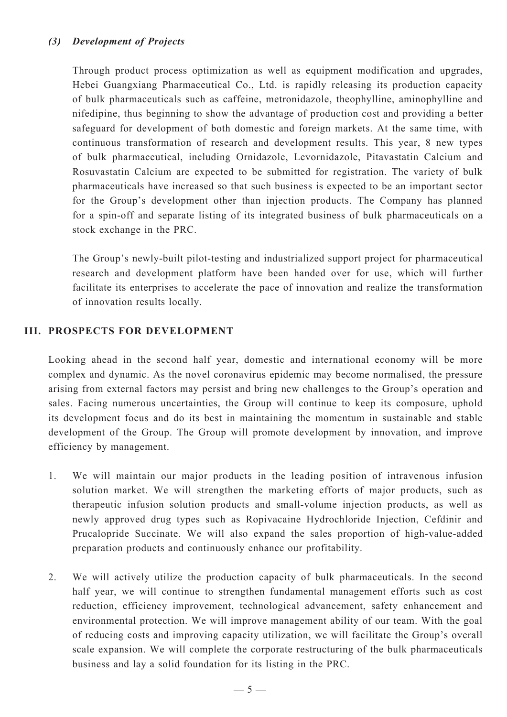# *(3) Development of Projects*

Through product process optimization as well as equipment modification and upgrades, Hebei Guangxiang Pharmaceutical Co., Ltd. is rapidly releasing its production capacity of bulk pharmaceuticals such as caffeine, metronidazole, theophylline, aminophylline and nifedipine, thus beginning to show the advantage of production cost and providing a better safeguard for development of both domestic and foreign markets. At the same time, with continuous transformation of research and development results. This year, 8 new types of bulk pharmaceutical, including Ornidazole, Levornidazole, Pitavastatin Calcium and Rosuvastatin Calcium are expected to be submitted for registration. The variety of bulk pharmaceuticals have increased so that such business is expected to be an important sector for the Group's development other than injection products. The Company has planned for a spin-off and separate listing of its integrated business of bulk pharmaceuticals on a stock exchange in the PRC.

The Group's newly-built pilot-testing and industrialized support project for pharmaceutical research and development platform have been handed over for use, which will further facilitate its enterprises to accelerate the pace of innovation and realize the transformation of innovation results locally.

### **III. PROSPECTS FOR DEVELOPMENT**

Looking ahead in the second half year, domestic and international economy will be more complex and dynamic. As the novel coronavirus epidemic may become normalised, the pressure arising from external factors may persist and bring new challenges to the Group's operation and sales. Facing numerous uncertainties, the Group will continue to keep its composure, uphold its development focus and do its best in maintaining the momentum in sustainable and stable development of the Group. The Group will promote development by innovation, and improve efficiency by management.

- 1. We will maintain our major products in the leading position of intravenous infusion solution market. We will strengthen the marketing efforts of major products, such as therapeutic infusion solution products and small-volume injection products, as well as newly approved drug types such as Ropivacaine Hydrochloride Injection, Cefdinir and Prucalopride Succinate. We will also expand the sales proportion of high-value-added preparation products and continuously enhance our profitability.
- 2. We will actively utilize the production capacity of bulk pharmaceuticals. In the second half year, we will continue to strengthen fundamental management efforts such as cost reduction, efficiency improvement, technological advancement, safety enhancement and environmental protection. We will improve management ability of our team. With the goal of reducing costs and improving capacity utilization, we will facilitate the Group's overall scale expansion. We will complete the corporate restructuring of the bulk pharmaceuticals business and lay a solid foundation for its listing in the PRC.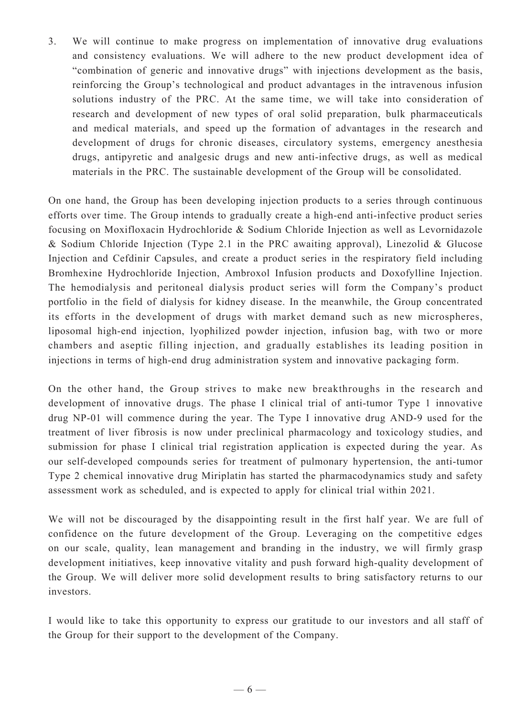3. We will continue to make progress on implementation of innovative drug evaluations and consistency evaluations. We will adhere to the new product development idea of "combination of generic and innovative drugs" with injections development as the basis, reinforcing the Group's technological and product advantages in the intravenous infusion solutions industry of the PRC. At the same time, we will take into consideration of research and development of new types of oral solid preparation, bulk pharmaceuticals and medical materials, and speed up the formation of advantages in the research and development of drugs for chronic diseases, circulatory systems, emergency anesthesia drugs, antipyretic and analgesic drugs and new anti-infective drugs, as well as medical materials in the PRC. The sustainable development of the Group will be consolidated.

On one hand, the Group has been developing injection products to a series through continuous efforts over time. The Group intends to gradually create a high-end anti-infective product series focusing on Moxifloxacin Hydrochloride & Sodium Chloride Injection as well as Levornidazole & Sodium Chloride Injection (Type 2.1 in the PRC awaiting approval), Linezolid & Glucose Injection and Cefdinir Capsules, and create a product series in the respiratory field including Bromhexine Hydrochloride Injection, Ambroxol Infusion products and Doxofylline Injection. The hemodialysis and peritoneal dialysis product series will form the Company's product portfolio in the field of dialysis for kidney disease. In the meanwhile, the Group concentrated its efforts in the development of drugs with market demand such as new microspheres, liposomal high-end injection, lyophilized powder injection, infusion bag, with two or more chambers and aseptic filling injection, and gradually establishes its leading position in injections in terms of high-end drug administration system and innovative packaging form.

On the other hand, the Group strives to make new breakthroughs in the research and development of innovative drugs. The phase I clinical trial of anti-tumor Type 1 innovative drug NP-01 will commence during the year. The Type I innovative drug AND-9 used for the treatment of liver fibrosis is now under preclinical pharmacology and toxicology studies, and submission for phase I clinical trial registration application is expected during the year. As our self-developed compounds series for treatment of pulmonary hypertension, the anti-tumor Type 2 chemical innovative drug Miriplatin has started the pharmacodynamics study and safety assessment work as scheduled, and is expected to apply for clinical trial within 2021.

We will not be discouraged by the disappointing result in the first half year. We are full of confidence on the future development of the Group. Leveraging on the competitive edges on our scale, quality, lean management and branding in the industry, we will firmly grasp development initiatives, keep innovative vitality and push forward high-quality development of the Group. We will deliver more solid development results to bring satisfactory returns to our investors.

I would like to take this opportunity to express our gratitude to our investors and all staff of the Group for their support to the development of the Company.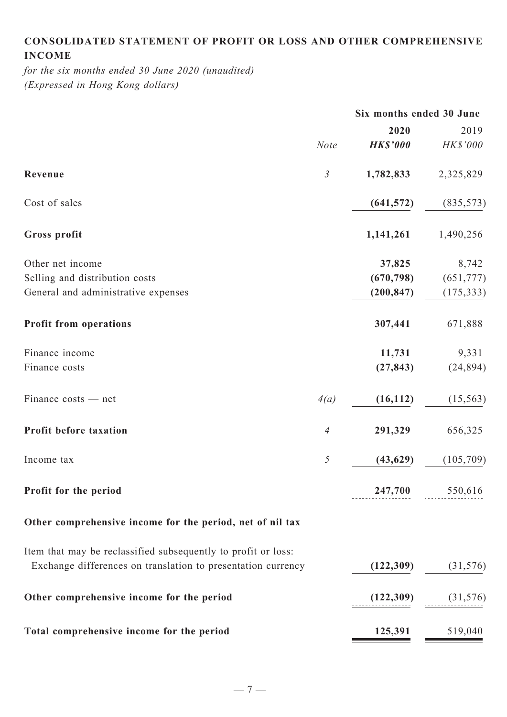# **Consolidated statement of profit or loss and other comprehensive income**

*for the six months ended 30 June 2020 (unaudited) (Expressed in Hong Kong dollars)*

|                                                               |                | Six months ended 30 June |                 |
|---------------------------------------------------------------|----------------|--------------------------|-----------------|
|                                                               |                | 2020                     | 2019            |
|                                                               | <b>Note</b>    | <b>HK\$'000</b>          | HK\$'000        |
| Revenue                                                       | $\mathfrak{Z}$ | 1,782,833                | 2,325,829       |
| Cost of sales                                                 |                | (641, 572)               | (835, 573)      |
| Gross profit                                                  |                | 1,141,261                | 1,490,256       |
| Other net income                                              |                | 37,825                   | 8,742           |
| Selling and distribution costs                                |                | (670, 798)               | (651, 777)      |
| General and administrative expenses                           |                | (200, 847)               | (175, 333)      |
| <b>Profit from operations</b>                                 |                | 307,441                  | 671,888         |
| Finance income                                                |                | 11,731                   | 9,331           |
| Finance costs                                                 |                | (27, 843)                | (24, 894)       |
| Finance costs — net                                           | 4(a)           | (16, 112)                | (15, 563)       |
| Profit before taxation                                        | $\overline{A}$ | 291,329                  | 656,325         |
| Income tax                                                    | 5              | (43, 629)                | (105,709)       |
| Profit for the period                                         |                |                          | 247,700 550,616 |
| Other comprehensive income for the period, net of nil tax     |                |                          |                 |
| Item that may be reclassified subsequently to profit or loss: |                |                          |                 |
| Exchange differences on translation to presentation currency  |                | (122, 309)               | (31, 576)       |
| Other comprehensive income for the period                     |                | (122,309)                | (31, 576)       |
| Total comprehensive income for the period                     |                | 125,391                  | 519,040         |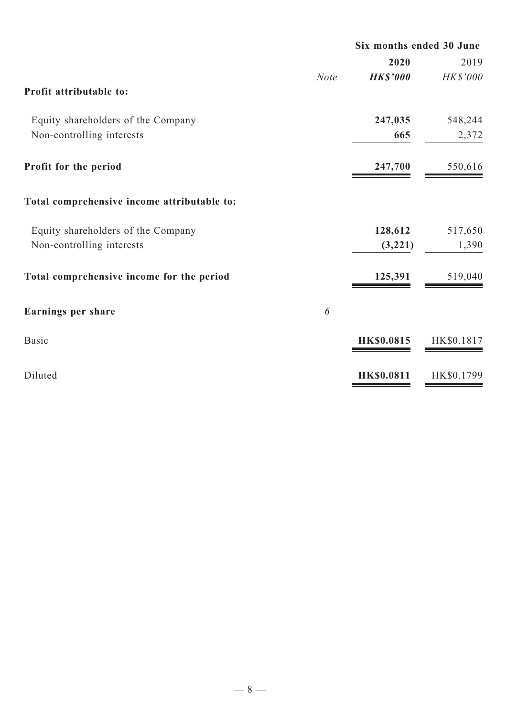|                                             |             | Six months ended 30 June |            |
|---------------------------------------------|-------------|--------------------------|------------|
|                                             |             | 2020                     | 2019       |
|                                             | <b>Note</b> | <b>HK\$'000</b>          | HK\$'000   |
| Profit attributable to:                     |             |                          |            |
| Equity shareholders of the Company          |             | 247,035                  | 548,244    |
| Non-controlling interests                   |             | 665                      | 2,372      |
| Profit for the period                       |             | 247,700                  | 550,616    |
| Total comprehensive income attributable to: |             |                          |            |
| Equity shareholders of the Company          |             | 128,612                  | 517,650    |
| Non-controlling interests                   |             | (3,221)                  | 1,390      |
| Total comprehensive income for the period   |             | 125,391                  | 519,040    |
| Earnings per share                          | 6           |                          |            |
| <b>Basic</b>                                |             | <b>HK\$0.0815</b>        | HK\$0.1817 |
| Diluted                                     |             | <b>HK\$0.0811</b>        | HK\$0.1799 |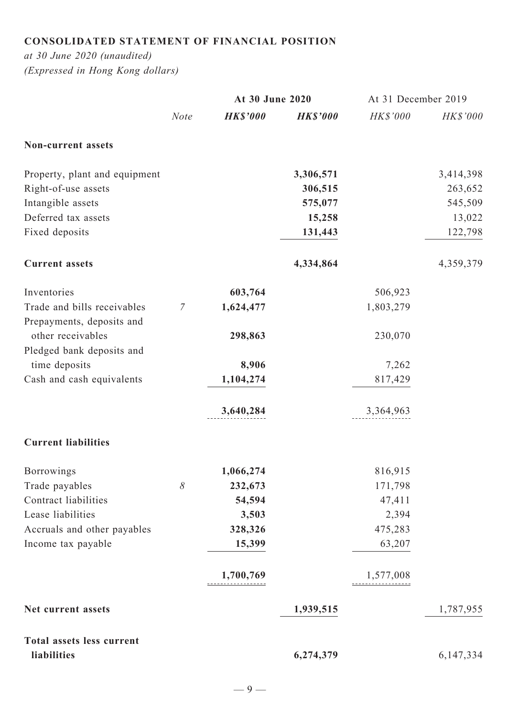# **Consolidated statement of financial position**

*at 30 June 2020 (unaudited) (Expressed in Hong Kong dollars)*

|                                                          |                  | At 30 June 2020 |                 | At 31 December 2019 |           |
|----------------------------------------------------------|------------------|-----------------|-----------------|---------------------|-----------|
|                                                          | <b>Note</b>      | <b>HK\$'000</b> | <b>HK\$'000</b> | HK\$'000            | HK\$'000  |
| <b>Non-current assets</b>                                |                  |                 |                 |                     |           |
| Property, plant and equipment                            |                  |                 | 3,306,571       |                     | 3,414,398 |
| Right-of-use assets                                      |                  |                 | 306,515         |                     | 263,652   |
| Intangible assets                                        |                  |                 | 575,077         |                     | 545,509   |
| Deferred tax assets                                      |                  |                 | 15,258          |                     | 13,022    |
| Fixed deposits                                           |                  |                 | 131,443         |                     | 122,798   |
| <b>Current assets</b>                                    |                  |                 | 4,334,864       |                     | 4,359,379 |
| Inventories                                              |                  | 603,764         |                 | 506,923             |           |
| Trade and bills receivables<br>Prepayments, deposits and | $\boldsymbol{7}$ | 1,624,477       |                 | 1,803,279           |           |
| other receivables                                        |                  | 298,863         |                 | 230,070             |           |
| Pledged bank deposits and                                |                  |                 |                 |                     |           |
| time deposits                                            |                  | 8,906           |                 | 7,262               |           |
| Cash and cash equivalents                                |                  | 1,104,274       |                 | 817,429             |           |
|                                                          |                  | 3,640,284       |                 | 3,364,963           |           |
| <b>Current liabilities</b>                               |                  |                 |                 |                     |           |
| <b>Borrowings</b>                                        |                  | 1,066,274       |                 | 816,915             |           |
| Trade payables                                           | 8                | 232,673         |                 | 171,798             |           |
| Contract liabilities                                     |                  | 54,594          |                 | 47,411              |           |
| Lease liabilities                                        |                  | 3,503           |                 | 2,394               |           |
| Accruals and other payables                              |                  | 328,326         |                 | 475,283             |           |
| Income tax payable                                       |                  | 15,399          |                 | 63,207              |           |
|                                                          |                  | 1,700,769       |                 | 1,577,008           |           |
| Net current assets                                       |                  |                 | 1,939,515       |                     | 1,787,955 |
| <b>Total assets less current</b>                         |                  |                 |                 |                     |           |
| liabilities                                              |                  |                 | 6,274,379       |                     | 6,147,334 |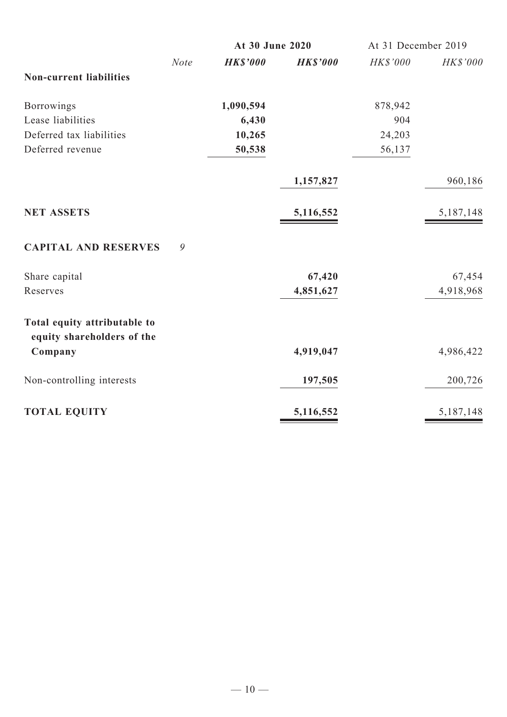|                                                            |             | At 30 June 2020 |                 | At 31 December 2019 |                 |
|------------------------------------------------------------|-------------|-----------------|-----------------|---------------------|-----------------|
|                                                            | <b>Note</b> | <b>HK\$'000</b> | <b>HK\$'000</b> | HK\$'000            | <b>HK\$'000</b> |
| <b>Non-current liabilities</b>                             |             |                 |                 |                     |                 |
| Borrowings                                                 |             | 1,090,594       |                 | 878,942             |                 |
| Lease liabilities                                          |             | 6,430           |                 | 904                 |                 |
| Deferred tax liabilities                                   |             | 10,265          |                 | 24,203              |                 |
| Deferred revenue                                           |             | 50,538          |                 | 56,137              |                 |
|                                                            |             |                 | 1,157,827       |                     | 960,186         |
| <b>NET ASSETS</b>                                          |             |                 | 5,116,552       |                     | 5,187,148       |
| <b>CAPITAL AND RESERVES</b>                                | 9           |                 |                 |                     |                 |
| Share capital                                              |             |                 | 67,420          |                     | 67,454          |
| Reserves                                                   |             |                 | 4,851,627       |                     | 4,918,968       |
| Total equity attributable to<br>equity shareholders of the |             |                 |                 |                     |                 |
| Company                                                    |             |                 | 4,919,047       |                     | 4,986,422       |
| Non-controlling interests                                  |             |                 | 197,505         |                     | 200,726         |
| <b>TOTAL EQUITY</b>                                        |             |                 | 5,116,552       |                     | 5,187,148       |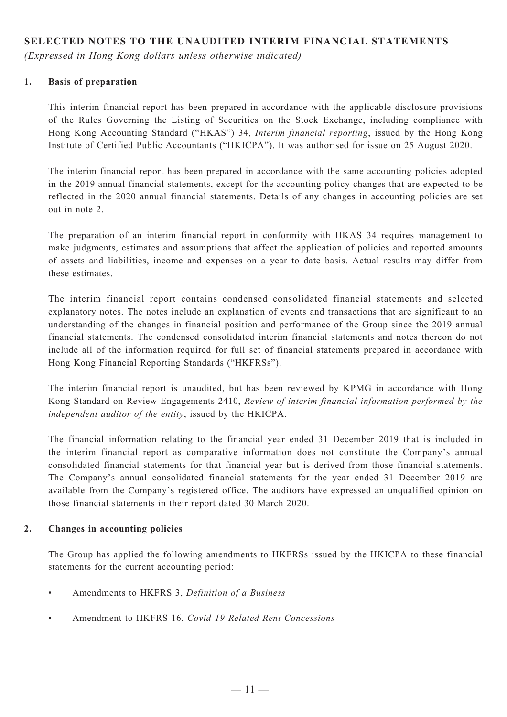# **SELECTED NOTES TO THE UNAUDITED INTERIM FINANCIAL STATEMENTS**

*(Expressed in Hong Kong dollars unless otherwise indicated)*

### **1. Basis of preparation**

This interim financial report has been prepared in accordance with the applicable disclosure provisions of the Rules Governing the Listing of Securities on the Stock Exchange, including compliance with Hong Kong Accounting Standard ("HKAS") 34, *Interim financial reporting*, issued by the Hong Kong Institute of Certified Public Accountants ("HKICPA"). It was authorised for issue on 25 August 2020.

The interim financial report has been prepared in accordance with the same accounting policies adopted in the 2019 annual financial statements, except for the accounting policy changes that are expected to be reflected in the 2020 annual financial statements. Details of any changes in accounting policies are set out in note 2.

The preparation of an interim financial report in conformity with HKAS 34 requires management to make judgments, estimates and assumptions that affect the application of policies and reported amounts of assets and liabilities, income and expenses on a year to date basis. Actual results may differ from these estimates.

The interim financial report contains condensed consolidated financial statements and selected explanatory notes. The notes include an explanation of events and transactions that are significant to an understanding of the changes in financial position and performance of the Group since the 2019 annual financial statements. The condensed consolidated interim financial statements and notes thereon do not include all of the information required for full set of financial statements prepared in accordance with Hong Kong Financial Reporting Standards ("HKFRSs").

The interim financial report is unaudited, but has been reviewed by KPMG in accordance with Hong Kong Standard on Review Engagements 2410, *Review of interim financial information performed by the independent auditor of the entity*, issued by the HKICPA.

The financial information relating to the financial year ended 31 December 2019 that is included in the interim financial report as comparative information does not constitute the Company's annual consolidated financial statements for that financial year but is derived from those financial statements. The Company's annual consolidated financial statements for the year ended 31 December 2019 are available from the Company's registered office. The auditors have expressed an unqualified opinion on those financial statements in their report dated 30 March 2020.

#### **2. Changes in accounting policies**

The Group has applied the following amendments to HKFRSs issued by the HKICPA to these financial statements for the current accounting period:

- Amendments to HKFRS 3, *Definition of a Business*
- • Amendment to HKFRS 16, *Covid-19-Related Rent Concessions*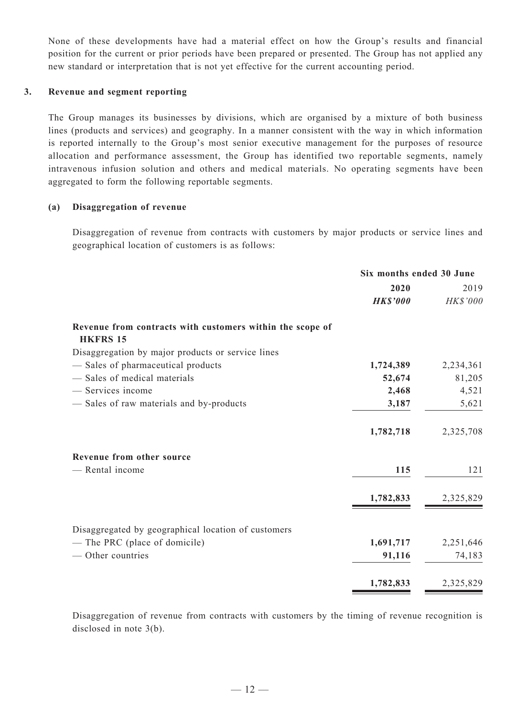None of these developments have had a material effect on how the Group's results and financial position for the current or prior periods have been prepared or presented. The Group has not applied any new standard or interpretation that is not yet effective for the current accounting period.

#### **3. Revenue and segment reporting**

The Group manages its businesses by divisions, which are organised by a mixture of both business lines (products and services) and geography. In a manner consistent with the way in which information is reported internally to the Group's most senior executive management for the purposes of resource allocation and performance assessment, the Group has identified two reportable segments, namely intravenous infusion solution and others and medical materials. No operating segments have been aggregated to form the following reportable segments.

#### **(a) Disaggregation of revenue**

Disaggregation of revenue from contracts with customers by major products or service lines and geographical location of customers is as follows:

|                                                                              | Six months ended 30 June |           |
|------------------------------------------------------------------------------|--------------------------|-----------|
|                                                                              | 2020                     | 2019      |
|                                                                              | <b>HK\$'000</b>          | HK\$'000  |
| Revenue from contracts with customers within the scope of<br><b>HKFRS 15</b> |                          |           |
| Disaggregation by major products or service lines                            |                          |           |
| - Sales of pharmaceutical products                                           | 1,724,389                | 2,234,361 |
| - Sales of medical materials                                                 | 52,674                   | 81,205    |
| - Services income                                                            | 2,468                    | 4,521     |
| - Sales of raw materials and by-products                                     | 3,187                    | 5,621     |
|                                                                              | 1,782,718                | 2,325,708 |
| Revenue from other source                                                    |                          |           |
| - Rental income                                                              | 115                      | 121       |
|                                                                              | 1,782,833                | 2,325,829 |
| Disaggregated by geographical location of customers                          |                          |           |
| - The PRC (place of domicile)                                                | 1,691,717                | 2,251,646 |
| - Other countries                                                            | 91,116                   | 74,183    |
|                                                                              | 1,782,833                | 2,325,829 |

Disaggregation of revenue from contracts with customers by the timing of revenue recognition is disclosed in note 3(b).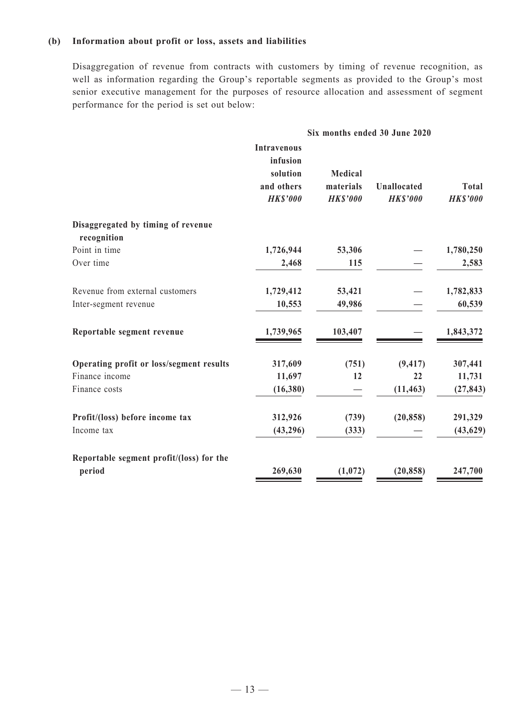#### **(b) Information about profit or loss, assets and liabilities**

Disaggregation of revenue from contracts with customers by timing of revenue recognition, as well as information regarding the Group's reportable segments as provided to the Group's most senior executive management for the purposes of resource allocation and assessment of segment performance for the period is set out below:

|                                                   | Six months ended 30 June 2020                                               |                                                |                                |                                 |
|---------------------------------------------------|-----------------------------------------------------------------------------|------------------------------------------------|--------------------------------|---------------------------------|
|                                                   | <b>Intravenous</b><br>infusion<br>solution<br>and others<br><b>HK\$'000</b> | <b>Medical</b><br>materials<br><b>HK\$'000</b> | Unallocated<br><b>HK\$'000</b> | <b>Total</b><br><b>HK\$'000</b> |
| Disaggregated by timing of revenue<br>recognition |                                                                             |                                                |                                |                                 |
| Point in time                                     | 1,726,944                                                                   | 53,306                                         |                                | 1,780,250                       |
| Over time                                         | 2,468                                                                       | 115                                            |                                | 2,583                           |
| Revenue from external customers                   | 1,729,412                                                                   | 53,421                                         |                                | 1,782,833                       |
| Inter-segment revenue                             | 10,553                                                                      | 49,986                                         |                                | 60,539                          |
| Reportable segment revenue                        | 1,739,965                                                                   | 103,407                                        |                                | 1,843,372                       |
| Operating profit or loss/segment results          | 317,609                                                                     | (751)                                          | (9, 417)                       | 307,441                         |
| Finance income                                    | 11,697                                                                      | 12                                             | 22                             | 11,731                          |
| Finance costs                                     | (16,380)                                                                    |                                                | (11, 463)                      | (27, 843)                       |
| Profit/(loss) before income tax                   | 312,926                                                                     | (739)                                          | (20, 858)                      | 291,329                         |
| Income tax                                        | (43,296)                                                                    | (333)                                          |                                | (43, 629)                       |
| Reportable segment profit/(loss) for the          |                                                                             |                                                |                                |                                 |
| period                                            | 269,630                                                                     | (1,072)                                        | (20, 858)                      | 247,700                         |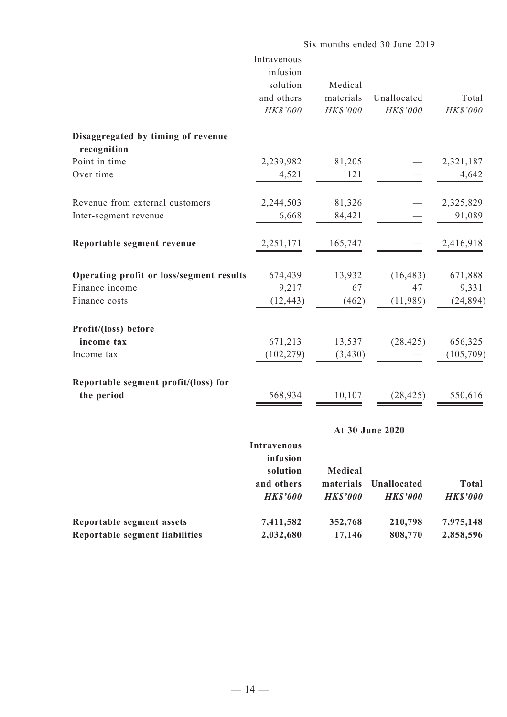|                                                                    | Six months ended 30 June 2019                                               |                                                |                                |                                |
|--------------------------------------------------------------------|-----------------------------------------------------------------------------|------------------------------------------------|--------------------------------|--------------------------------|
|                                                                    | Intravenous<br>infusion<br>solution<br>and others<br>HK\$'000               | Medical<br>materials<br>HK\$'000               | Unallocated<br>HK\$'000        | Total<br>HK\$'000              |
| Disaggregated by timing of revenue<br>recognition                  |                                                                             |                                                |                                |                                |
| Point in time                                                      | 2,239,982                                                                   | 81,205                                         |                                | 2,321,187                      |
| Over time                                                          | 4,521                                                                       | 121                                            |                                | 4,642                          |
| Revenue from external customers                                    | 2,244,503                                                                   | 81,326                                         |                                | 2,325,829                      |
| Inter-segment revenue                                              | 6,668                                                                       | 84,421                                         |                                | 91,089                         |
| Reportable segment revenue                                         | 2,251,171                                                                   | 165,747                                        |                                | 2,416,918                      |
| Operating profit or loss/segment results                           | 674,439                                                                     | 13,932                                         | (16, 483)                      | 671,888                        |
| Finance income                                                     | 9,217                                                                       | 67                                             | 47                             | 9,331                          |
| Finance costs                                                      | (12, 443)                                                                   | (462)                                          | (11,989)                       | (24, 894)                      |
| Profit/(loss) before                                               |                                                                             |                                                |                                |                                |
| income tax                                                         | 671,213                                                                     | 13,537                                         | (28, 425)                      | 656,325                        |
| Income tax                                                         | (102, 279)                                                                  | (3,430)                                        |                                | (105,709)                      |
| Reportable segment profit/(loss) for                               |                                                                             |                                                |                                |                                |
| the period                                                         | 568,934                                                                     | 10,107                                         | (28, 425)                      | 550,616                        |
|                                                                    |                                                                             |                                                | At 30 June 2020                |                                |
|                                                                    | <b>Intravenous</b><br>infusion<br>solution<br>and others<br><b>HK\$'000</b> | <b>Medical</b><br>materials<br><b>HK\$'000</b> | Unallocated<br><b>HK\$'000</b> | <b>Total</b><br><b>HKS'000</b> |
| Reportable segment assets<br><b>Reportable segment liabilities</b> | 7,411,582<br>2,032,680                                                      | 352,768<br>17,146                              | 210,798<br>808,770             | 7,975,148<br>2,858,596         |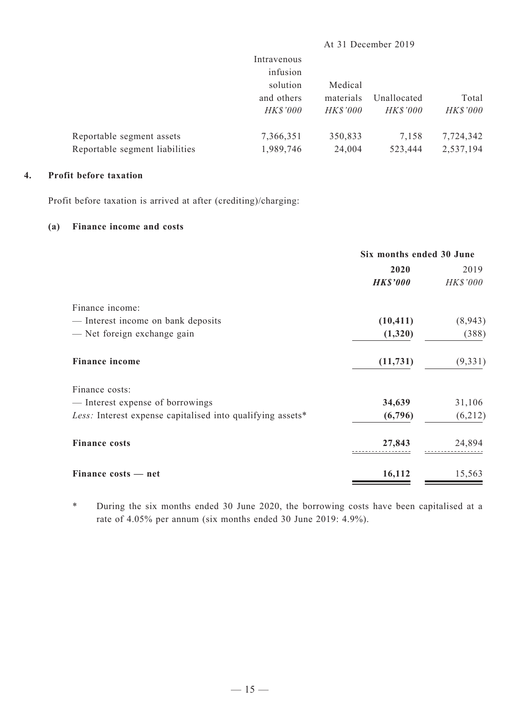|                                | Intravenous<br>infusion |                 |                 |           |
|--------------------------------|-------------------------|-----------------|-----------------|-----------|
|                                | solution                | Medical         |                 |           |
|                                | and others              | materials       | Unallocated     | Total     |
|                                | <b>HK\$'000</b>         | <b>HK\$'000</b> | <b>HK\$'000</b> | HK\$'000  |
| Reportable segment assets      | 7,366,351               | 350,833         | 7,158           | 7,724,342 |
| Reportable segment liabilities | 1,989,746               | 24,004          | 523,444         | 2,537,194 |
|                                |                         |                 |                 |           |

At 31 December 2019

#### **4. Profit before taxation**

Profit before taxation is arrived at after (crediting)/charging:

### **(a) Finance income and costs**

|                                                            | Six months ended 30 June |          |  |
|------------------------------------------------------------|--------------------------|----------|--|
|                                                            | 2020                     | 2019     |  |
|                                                            | <b>HK\$'000</b>          | HK\$'000 |  |
| Finance income:                                            |                          |          |  |
| - Interest income on bank deposits                         | (10, 411)                | (8,943)  |  |
| - Net foreign exchange gain                                | (1,320)                  | (388)    |  |
| <b>Finance income</b>                                      | (11, 731)                | (9, 331) |  |
| Finance costs:                                             |                          |          |  |
| - Interest expense of borrowings                           | 34,639                   | 31,106   |  |
| Less: Interest expense capitalised into qualifying assets* | (6,796)                  | (6,212)  |  |
| <b>Finance costs</b>                                       | 27,843                   | 24,894   |  |
| Finance costs — net                                        | 16,112                   | 15,563   |  |

\* During the six months ended 30 June 2020, the borrowing costs have been capitalised at a rate of 4.05% per annum (six months ended 30 June 2019: 4.9%).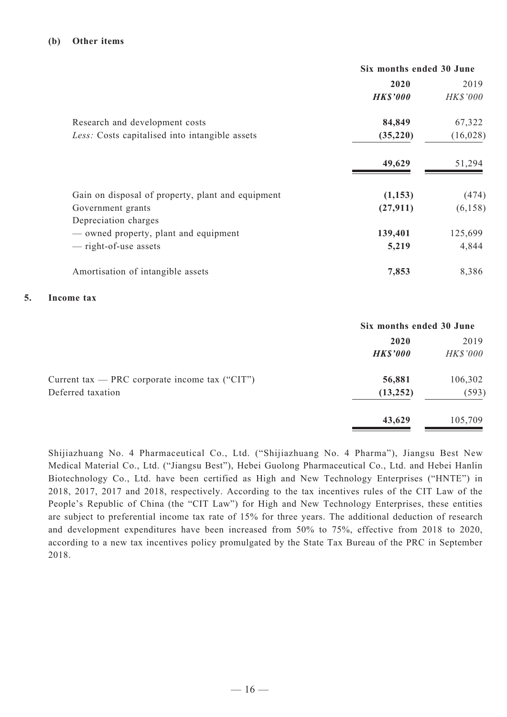|                                                   | Six months ended 30 June |           |  |
|---------------------------------------------------|--------------------------|-----------|--|
|                                                   | 2020                     | 2019      |  |
|                                                   | <b>HK\$'000</b>          | HK\$'000  |  |
| Research and development costs                    | 84,849                   | 67,322    |  |
| Less: Costs capitalised into intangible assets    | (35, 220)                | (16, 028) |  |
|                                                   | 49,629                   | 51,294    |  |
| Gain on disposal of property, plant and equipment | (1, 153)                 | (474)     |  |
| Government grants<br>Depreciation charges         | (27, 911)                | (6,158)   |  |
| — owned property, plant and equipment             | 139,401                  | 125,699   |  |
| — right-of-use assets                             | 5,219                    | 4,844     |  |
| Amortisation of intangible assets                 | 7,853                    | 8,386     |  |

#### **5. Income tax**

|                                                  | Six months ended 30 June |                 |  |
|--------------------------------------------------|--------------------------|-----------------|--|
|                                                  | 2020                     | 2019            |  |
|                                                  | <b>HK\$'000</b>          | <b>HK\$'000</b> |  |
| Current tax — PRC corporate income tax $("CIT")$ | 56,881                   | 106,302         |  |
| Deferred taxation                                | (13, 252)                | (593)           |  |
|                                                  | 43,629                   | 105,709         |  |

Shijiazhuang No. 4 Pharmaceutical Co., Ltd. ("Shijiazhuang No. 4 Pharma"), Jiangsu Best New Medical Material Co., Ltd. ("Jiangsu Best"), Hebei Guolong Pharmaceutical Co., Ltd. and Hebei Hanlin Biotechnology Co., Ltd. have been certified as High and New Technology Enterprises ("HNTE") in 2018, 2017, 2017 and 2018, respectively. According to the tax incentives rules of the CIT Law of the People's Republic of China (the "CIT Law") for High and New Technology Enterprises, these entities are subject to preferential income tax rate of 15% for three years. The additional deduction of research and development expenditures have been increased from 50% to 75%, effective from 2018 to 2020, according to a new tax incentives policy promulgated by the State Tax Bureau of the PRC in September 2018.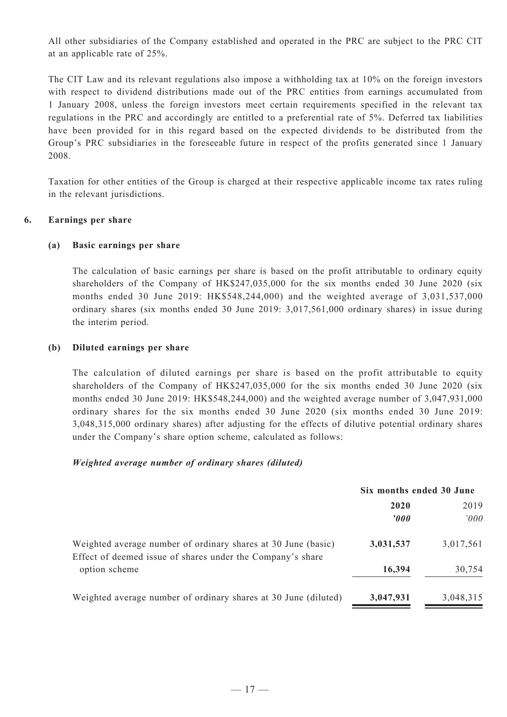All other subsidiaries of the Company established and operated in the PRC are subject to the PRC CIT at an applicable rate of 25%.

The CIT Law and its relevant regulations also impose a withholding tax at 10% on the foreign investors with respect to dividend distributions made out of the PRC entities from earnings accumulated from 1 January 2008, unless the foreign investors meet certain requirements specified in the relevant tax regulations in the PRC and accordingly are entitled to a preferential rate of 5%. Deferred tax liabilities have been provided for in this regard based on the expected dividends to be distributed from the Group's PRC subsidiaries in the foreseeable future in respect of the profits generated since 1 January 2008.

Taxation for other entities of the Group is charged at their respective applicable income tax rates ruling in the relevant jurisdictions.

#### **6. Earnings per share**

#### **(a) Basic earnings per share**

The calculation of basic earnings per share is based on the profit attributable to ordinary equity shareholders of the Company of HK\$247,035,000 for the six months ended 30 June 2020 (six months ended 30 June 2019: HK\$548,244,000) and the weighted average of 3,031,537,000 ordinary shares (six months ended 30 June 2019: 3,017,561,000 ordinary shares) in issue during the interim period.

#### **(b) Diluted earnings per share**

The calculation of diluted earnings per share is based on the profit attributable to equity shareholders of the Company of HK\$247,035,000 for the six months ended 30 June 2020 (six months ended 30 June 2019: HK\$548,244,000) and the weighted average number of 3,047,931,000 ordinary shares for the six months ended 30 June 2020 (six months ended 30 June 2019: 3,048,315,000 ordinary shares) after adjusting for the effects of dilutive potential ordinary shares under the Company's share option scheme, calculated as follows:

#### *Weighted average number of ordinary shares (diluted)*

|                                                                                                                             | Six months ended 30 June |           |  |
|-----------------------------------------------------------------------------------------------------------------------------|--------------------------|-----------|--|
|                                                                                                                             | 2020                     | 2019      |  |
|                                                                                                                             | $\boldsymbol{\theta}$    | '000      |  |
| Weighted average number of ordinary shares at 30 June (basic)<br>Effect of deemed issue of shares under the Company's share | 3,031,537                | 3,017,561 |  |
| option scheme                                                                                                               | 16,394                   | 30,754    |  |
| Weighted average number of ordinary shares at 30 June (diluted)                                                             | 3,047,931                | 3,048,315 |  |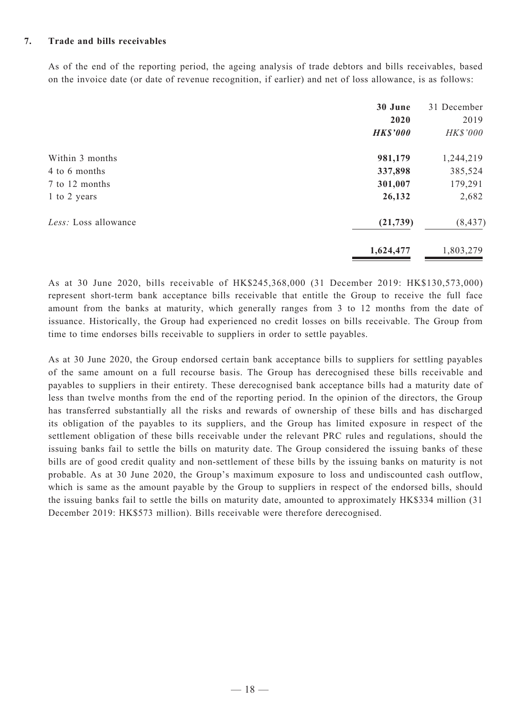#### **7. Trade and bills receivables**

As of the end of the reporting period, the ageing analysis of trade debtors and bills receivables, based on the invoice date (or date of revenue recognition, if earlier) and net of loss allowance, is as follows:

|                      | 30 June<br>2020<br><b>HK\$'000</b> | 31 December<br>2019<br>HK\$'000 |
|----------------------|------------------------------------|---------------------------------|
| Within 3 months      | 981,179                            | 1,244,219                       |
| 4 to 6 months        | 337,898                            | 385,524                         |
| 7 to 12 months       | 301,007                            | 179,291                         |
| 1 to 2 years         | 26,132                             | 2,682                           |
| Less: Loss allowance | (21, 739)                          | (8, 437)                        |
|                      | 1,624,477                          | 1,803,279                       |

As at 30 June 2020, bills receivable of HK\$245,368,000 (31 December 2019: HK\$130,573,000) represent short-term bank acceptance bills receivable that entitle the Group to receive the full face amount from the banks at maturity, which generally ranges from 3 to 12 months from the date of issuance. Historically, the Group had experienced no credit losses on bills receivable. The Group from time to time endorses bills receivable to suppliers in order to settle payables.

As at 30 June 2020, the Group endorsed certain bank acceptance bills to suppliers for settling payables of the same amount on a full recourse basis. The Group has derecognised these bills receivable and payables to suppliers in their entirety. These derecognised bank acceptance bills had a maturity date of less than twelve months from the end of the reporting period. In the opinion of the directors, the Group has transferred substantially all the risks and rewards of ownership of these bills and has discharged its obligation of the payables to its suppliers, and the Group has limited exposure in respect of the settlement obligation of these bills receivable under the relevant PRC rules and regulations, should the issuing banks fail to settle the bills on maturity date. The Group considered the issuing banks of these bills are of good credit quality and non-settlement of these bills by the issuing banks on maturity is not probable. As at 30 June 2020, the Group's maximum exposure to loss and undiscounted cash outflow, which is same as the amount payable by the Group to suppliers in respect of the endorsed bills, should the issuing banks fail to settle the bills on maturity date, amounted to approximately HK\$334 million (31 December 2019: HK\$573 million). Bills receivable were therefore derecognised.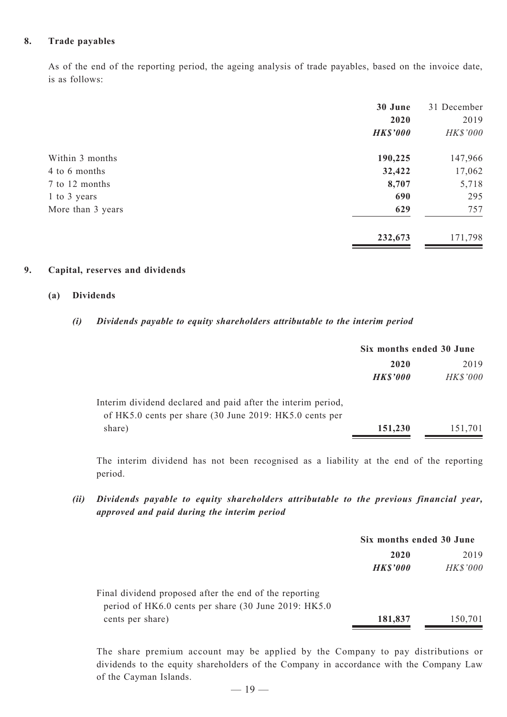#### **8. Trade payables**

As of the end of the reporting period, the ageing analysis of trade payables, based on the invoice date, is as follows:

|                   | 30 June         | 31 December |
|-------------------|-----------------|-------------|
|                   | 2020            | 2019        |
|                   | <b>HK\$'000</b> | HK\$'000    |
| Within 3 months   | 190,225         | 147,966     |
| 4 to 6 months     | 32,422          | 17,062      |
| 7 to 12 months    | 8,707           | 5,718       |
| 1 to 3 years      | 690             | 295         |
| More than 3 years | 629             | 757         |
|                   | 232,673         | 171,798     |

#### **9. Capital, reserves and dividends**

#### **(a) Dividends**

#### *(i) Dividends payable to equity shareholders attributable to the interim period*

|                                                                                                                         | Six months ended 30 June |                 |  |
|-------------------------------------------------------------------------------------------------------------------------|--------------------------|-----------------|--|
|                                                                                                                         | 2020                     | 2019            |  |
|                                                                                                                         | <b>HK\$'000</b>          | <b>HK\$'000</b> |  |
| Interim dividend declared and paid after the interim period,<br>of HK5.0 cents per share (30 June 2019: HK5.0 cents per |                          |                 |  |
| share)                                                                                                                  | 151,230                  | 151,701         |  |

The interim dividend has not been recognised as a liability at the end of the reporting period.

# *(ii) Dividends payable to equity shareholders attributable to the previous financial year, approved and paid during the interim period*

|                                                        | Six months ended 30 June |                 |  |
|--------------------------------------------------------|--------------------------|-----------------|--|
|                                                        | 2020                     | 2019            |  |
|                                                        | <b>HK\$'000</b>          | <b>HK\$'000</b> |  |
| Final dividend proposed after the end of the reporting |                          |                 |  |
| period of HK6.0 cents per share (30 June 2019: HK5.0   |                          |                 |  |
| cents per share)                                       | 181,837                  | 150,701         |  |

The share premium account may be applied by the Company to pay distributions or dividends to the equity shareholders of the Company in accordance with the Company Law of the Cayman Islands.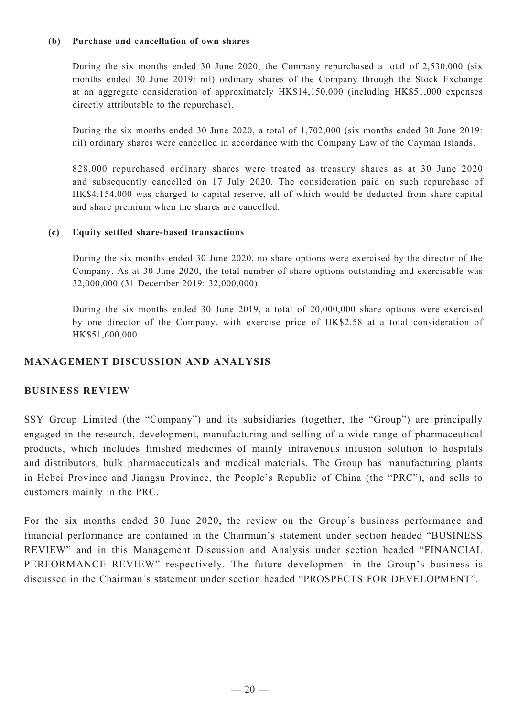#### **(b) Purchase and cancellation of own shares**

During the six months ended 30 June 2020, the Company repurchased a total of 2,530,000 (six months ended 30 June 2019: nil) ordinary shares of the Company through the Stock Exchange at an aggregate consideration of approximately HK\$14,150,000 (including HK\$51,000 expenses directly attributable to the repurchase).

During the six months ended 30 June 2020, a total of 1,702,000 (six months ended 30 June 2019: nil) ordinary shares were cancelled in accordance with the Company Law of the Cayman Islands.

828,000 repurchased ordinary shares were treated as treasury shares as at 30 June 2020 and subsequently cancelled on 17 July 2020. The consideration paid on such repurchase of HK\$4,154,000 was charged to capital reserve, all of which would be deducted from share capital and share premium when the shares are cancelled.

#### **(c) Equity settled share-based transactions**

During the six months ended 30 June 2020, no share options were exercised by the director of the Company. As at 30 June 2020, the total number of share options outstanding and exercisable was 32,000,000 (31 December 2019: 32,000,000).

During the six months ended 30 June 2019, a total of 20,000,000 share options were exercised by one director of the Company, with exercise price of HK\$2.58 at a total consideration of HK\$51,600,000.

### **MANAGEMENT DISCUSSION AND ANALYSIS**

#### **Business Review**

SSY Group Limited (the "Company") and its subsidiaries (together, the "Group") are principally engaged in the research, development, manufacturing and selling of a wide range of pharmaceutical products, which includes finished medicines of mainly intravenous infusion solution to hospitals and distributors, bulk pharmaceuticals and medical materials. The Group has manufacturing plants in Hebei Province and Jiangsu Province, the People's Republic of China (the "PRC"), and sells to customers mainly in the PRC.

For the six months ended 30 June 2020, the review on the Group's business performance and financial performance are contained in the Chairman's statement under section headed "BUSINESS REVIEW" and in this Management Discussion and Analysis under section headed "FINANCIAL PERFORMANCE REVIEW" respectively. The future development in the Group's business is discussed in the Chairman's statement under section headed "PROSPECTS FOR DEVELOPMENT".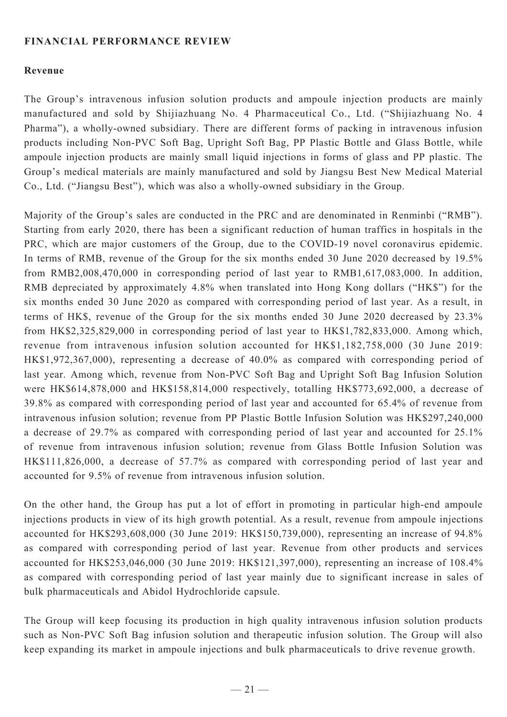## **FINANCIAL PERFORMANCE REVIEW**

### **Revenue**

The Group's intravenous infusion solution products and ampoule injection products are mainly manufactured and sold by Shijiazhuang No. 4 Pharmaceutical Co., Ltd. ("Shijiazhuang No. 4 Pharma"), a wholly-owned subsidiary. There are different forms of packing in intravenous infusion products including Non-PVC Soft Bag, Upright Soft Bag, PP Plastic Bottle and Glass Bottle, while ampoule injection products are mainly small liquid injections in forms of glass and PP plastic. The Group's medical materials are mainly manufactured and sold by Jiangsu Best New Medical Material Co., Ltd. ("Jiangsu Best"), which was also a wholly-owned subsidiary in the Group.

Majority of the Group's sales are conducted in the PRC and are denominated in Renminbi ("RMB"). Starting from early 2020, there has been a significant reduction of human traffics in hospitals in the PRC, which are major customers of the Group, due to the COVID-19 novel coronavirus epidemic. In terms of RMB, revenue of the Group for the six months ended 30 June 2020 decreased by 19.5% from RMB2,008,470,000 in corresponding period of last year to RMB1,617,083,000. In addition, RMB depreciated by approximately 4.8% when translated into Hong Kong dollars ("HK\$") for the six months ended 30 June 2020 as compared with corresponding period of last year. As a result, in terms of HK\$, revenue of the Group for the six months ended 30 June 2020 decreased by 23.3% from HK\$2,325,829,000 in corresponding period of last year to HK\$1,782,833,000. Among which, revenue from intravenous infusion solution accounted for HK\$1,182,758,000 (30 June 2019: HK\$1,972,367,000), representing a decrease of 40.0% as compared with corresponding period of last year. Among which, revenue from Non-PVC Soft Bag and Upright Soft Bag Infusion Solution were HK\$614,878,000 and HK\$158,814,000 respectively, totalling HK\$773,692,000, a decrease of 39.8% as compared with corresponding period of last year and accounted for 65.4% of revenue from intravenous infusion solution; revenue from PP Plastic Bottle Infusion Solution was HK\$297,240,000 a decrease of 29.7% as compared with corresponding period of last year and accounted for 25.1% of revenue from intravenous infusion solution; revenue from Glass Bottle Infusion Solution was HK\$111,826,000, a decrease of 57.7% as compared with corresponding period of last year and accounted for 9.5% of revenue from intravenous infusion solution.

On the other hand, the Group has put a lot of effort in promoting in particular high-end ampoule injections products in view of its high growth potential. As a result, revenue from ampoule injections accounted for HK\$293,608,000 (30 June 2019: HK\$150,739,000), representing an increase of 94.8% as compared with corresponding period of last year. Revenue from other products and services accounted for HK\$253,046,000 (30 June 2019: HK\$121,397,000), representing an increase of 108.4% as compared with corresponding period of last year mainly due to significant increase in sales of bulk pharmaceuticals and Abidol Hydrochloride capsule.

The Group will keep focusing its production in high quality intravenous infusion solution products such as Non-PVC Soft Bag infusion solution and therapeutic infusion solution. The Group will also keep expanding its market in ampoule injections and bulk pharmaceuticals to drive revenue growth.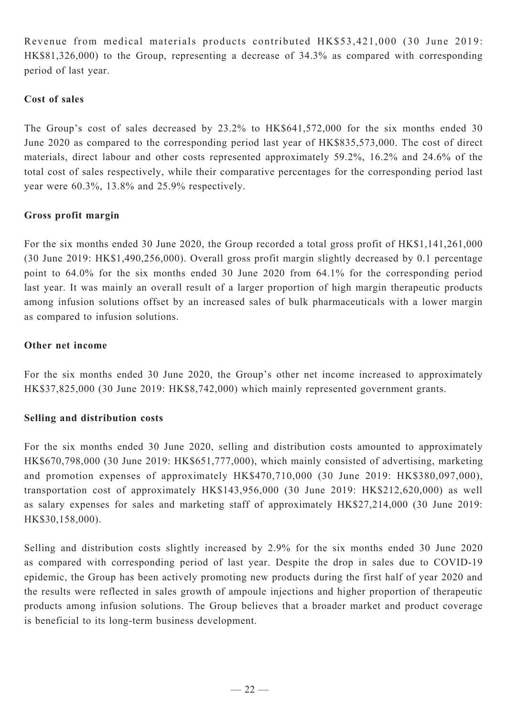Revenue from medical materials products contributed HK\$53,421,000 (30 June 2019: HK\$81,326,000) to the Group, representing a decrease of 34.3% as compared with corresponding period of last year.

### **Cost of sales**

The Group's cost of sales decreased by 23.2% to HK\$641,572,000 for the six months ended 30 June 2020 as compared to the corresponding period last year of HK\$835,573,000. The cost of direct materials, direct labour and other costs represented approximately 59.2%, 16.2% and 24.6% of the total cost of sales respectively, while their comparative percentages for the corresponding period last year were 60.3%, 13.8% and 25.9% respectively.

### **Gross profit margin**

For the six months ended 30 June 2020, the Group recorded a total gross profit of HK\$1,141,261,000 (30 June 2019: HK\$1,490,256,000). Overall gross profit margin slightly decreased by 0.1 percentage point to 64.0% for the six months ended 30 June 2020 from 64.1% for the corresponding period last year. It was mainly an overall result of a larger proportion of high margin therapeutic products among infusion solutions offset by an increased sales of bulk pharmaceuticals with a lower margin as compared to infusion solutions.

### **Other net income**

For the six months ended 30 June 2020, the Group's other net income increased to approximately HK\$37,825,000 (30 June 2019: HK\$8,742,000) which mainly represented government grants.

### **Selling and distribution costs**

For the six months ended 30 June 2020, selling and distribution costs amounted to approximately HK\$670,798,000 (30 June 2019: HK\$651,777,000), which mainly consisted of advertising, marketing and promotion expenses of approximately HK\$470,710,000 (30 June 2019: HK\$380,097,000), transportation cost of approximately HK\$143,956,000 (30 June 2019: HK\$212,620,000) as well as salary expenses for sales and marketing staff of approximately HK\$27,214,000 (30 June 2019: HK\$30,158,000).

Selling and distribution costs slightly increased by 2.9% for the six months ended 30 June 2020 as compared with corresponding period of last year. Despite the drop in sales due to COVID-19 epidemic, the Group has been actively promoting new products during the first half of year 2020 and the results were reflected in sales growth of ampoule injections and higher proportion of therapeutic products among infusion solutions. The Group believes that a broader market and product coverage is beneficial to its long-term business development.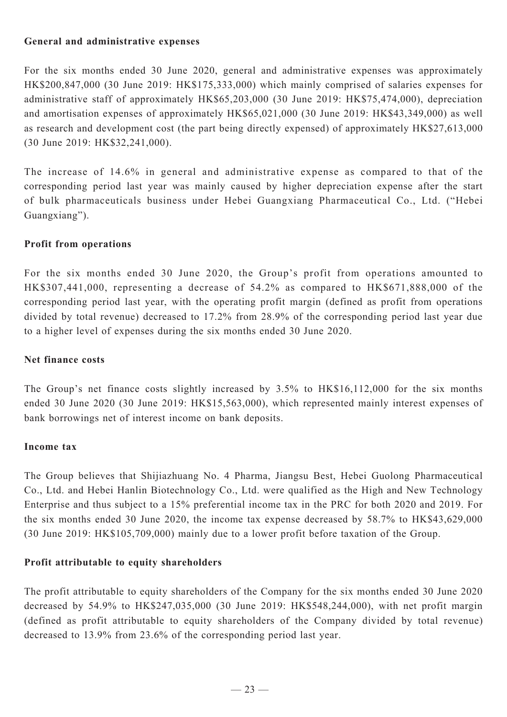### **General and administrative expenses**

For the six months ended 30 June 2020, general and administrative expenses was approximately HK\$200,847,000 (30 June 2019: HK\$175,333,000) which mainly comprised of salaries expenses for administrative staff of approximately HK\$65,203,000 (30 June 2019: HK\$75,474,000), depreciation and amortisation expenses of approximately HK\$65,021,000 (30 June 2019: HK\$43,349,000) as well as research and development cost (the part being directly expensed) of approximately HK\$27,613,000 (30 June 2019: HK\$32,241,000).

The increase of 14.6% in general and administrative expense as compared to that of the corresponding period last year was mainly caused by higher depreciation expense after the start of bulk pharmaceuticals business under Hebei Guangxiang Pharmaceutical Co., Ltd. ("Hebei Guangxiang").

### **Profit from operations**

For the six months ended 30 June 2020, the Group's profit from operations amounted to HK\$307,441,000, representing a decrease of 54.2% as compared to HK\$671,888,000 of the corresponding period last year, with the operating profit margin (defined as profit from operations divided by total revenue) decreased to 17.2% from 28.9% of the corresponding period last year due to a higher level of expenses during the six months ended 30 June 2020.

### **Net finance costs**

The Group's net finance costs slightly increased by 3.5% to HK\$16,112,000 for the six months ended 30 June 2020 (30 June 2019: HK\$15,563,000), which represented mainly interest expenses of bank borrowings net of interest income on bank deposits.

### **Income tax**

The Group believes that Shijiazhuang No. 4 Pharma, Jiangsu Best, Hebei Guolong Pharmaceutical Co., Ltd. and Hebei Hanlin Biotechnology Co., Ltd. were qualified as the High and New Technology Enterprise and thus subject to a 15% preferential income tax in the PRC for both 2020 and 2019. For the six months ended 30 June 2020, the income tax expense decreased by 58.7% to HK\$43,629,000 (30 June 2019: HK\$105,709,000) mainly due to a lower profit before taxation of the Group.

### **Profit attributable to equity shareholders**

The profit attributable to equity shareholders of the Company for the six months ended 30 June 2020 decreased by 54.9% to HK\$247,035,000 (30 June 2019: HK\$548,244,000), with net profit margin (defined as profit attributable to equity shareholders of the Company divided by total revenue) decreased to 13.9% from 23.6% of the corresponding period last year.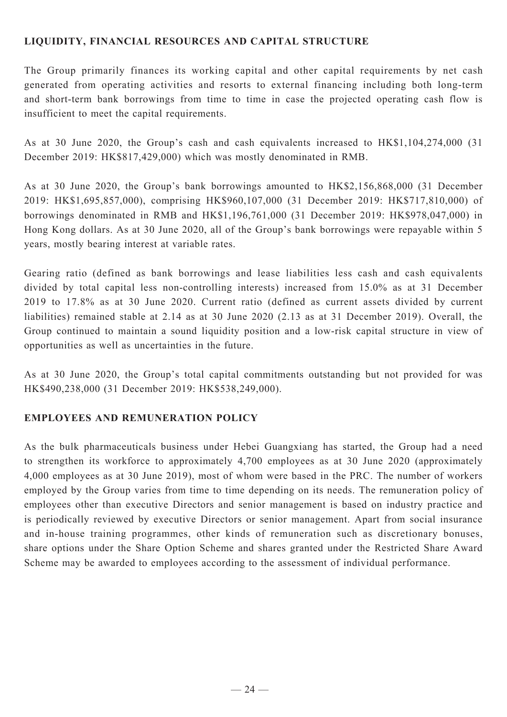# **LIQUIDITY, FINANCIAL RESOURCES AND CAPITAL STRUCTURE**

The Group primarily finances its working capital and other capital requirements by net cash generated from operating activities and resorts to external financing including both long-term and short-term bank borrowings from time to time in case the projected operating cash flow is insufficient to meet the capital requirements.

As at 30 June 2020, the Group's cash and cash equivalents increased to HK\$1,104,274,000 (31 December 2019: HK\$817,429,000) which was mostly denominated in RMB.

As at 30 June 2020, the Group's bank borrowings amounted to HK\$2,156,868,000 (31 December 2019: HK\$1,695,857,000), comprising HK\$960,107,000 (31 December 2019: HK\$717,810,000) of borrowings denominated in RMB and HK\$1,196,761,000 (31 December 2019: HK\$978,047,000) in Hong Kong dollars. As at 30 June 2020, all of the Group's bank borrowings were repayable within 5 years, mostly bearing interest at variable rates.

Gearing ratio (defined as bank borrowings and lease liabilities less cash and cash equivalents divided by total capital less non-controlling interests) increased from 15.0% as at 31 December 2019 to 17.8% as at 30 June 2020. Current ratio (defined as current assets divided by current liabilities) remained stable at 2.14 as at 30 June 2020 (2.13 as at 31 December 2019). Overall, the Group continued to maintain a sound liquidity position and a low-risk capital structure in view of opportunities as well as uncertainties in the future.

As at 30 June 2020, the Group's total capital commitments outstanding but not provided for was HK\$490,238,000 (31 December 2019: HK\$538,249,000).

### **EMPLOYEES AND REMUNERATION POLICY**

As the bulk pharmaceuticals business under Hebei Guangxiang has started, the Group had a need to strengthen its workforce to approximately 4,700 employees as at 30 June 2020 (approximately 4,000 employees as at 30 June 2019), most of whom were based in the PRC. The number of workers employed by the Group varies from time to time depending on its needs. The remuneration policy of employees other than executive Directors and senior management is based on industry practice and is periodically reviewed by executive Directors or senior management. Apart from social insurance and in-house training programmes, other kinds of remuneration such as discretionary bonuses, share options under the Share Option Scheme and shares granted under the Restricted Share Award Scheme may be awarded to employees according to the assessment of individual performance.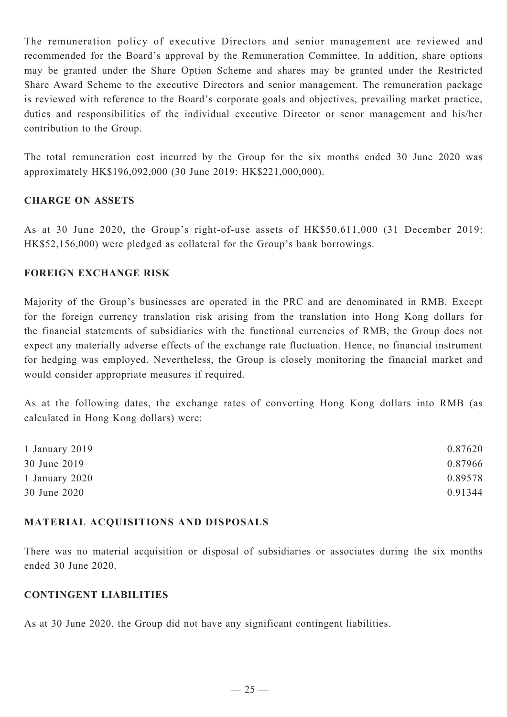The remuneration policy of executive Directors and senior management are reviewed and recommended for the Board's approval by the Remuneration Committee. In addition, share options may be granted under the Share Option Scheme and shares may be granted under the Restricted Share Award Scheme to the executive Directors and senior management. The remuneration package is reviewed with reference to the Board's corporate goals and objectives, prevailing market practice, duties and responsibilities of the individual executive Director or senor management and his/her contribution to the Group.

The total remuneration cost incurred by the Group for the six months ended 30 June 2020 was approximately HK\$196,092,000 (30 June 2019: HK\$221,000,000).

### **CHARGE ON ASSETS**

As at 30 June 2020, the Group's right-of-use assets of HK\$50,611,000 (31 December 2019: HK\$52,156,000) were pledged as collateral for the Group's bank borrowings.

#### **FOREIGN EXCHANGE RISK**

Majority of the Group's businesses are operated in the PRC and are denominated in RMB. Except for the foreign currency translation risk arising from the translation into Hong Kong dollars for the financial statements of subsidiaries with the functional currencies of RMB, the Group does not expect any materially adverse effects of the exchange rate fluctuation. Hence, no financial instrument for hedging was employed. Nevertheless, the Group is closely monitoring the financial market and would consider appropriate measures if required.

As at the following dates, the exchange rates of converting Hong Kong dollars into RMB (as calculated in Hong Kong dollars) were:

| 1 January 2019 | 0.87620 |
|----------------|---------|
| 30 June 2019   | 0.87966 |
| 1 January 2020 | 0.89578 |
| 30 June 2020   | 0.91344 |

#### **Material acquisitions and disposals**

There was no material acquisition or disposal of subsidiaries or associates during the six months ended 30 June 2020.

### **CONTINGENT LIABILITIES**

As at 30 June 2020, the Group did not have any significant contingent liabilities.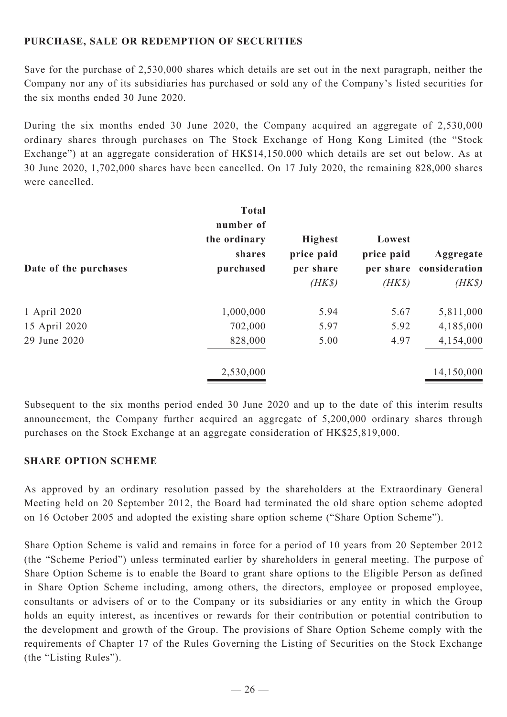# **PURCHASE, SALE OR REDEMPTION OF SECURITIES**

Save for the purchase of 2,530,000 shares which details are set out in the next paragraph, neither the Company nor any of its subsidiaries has purchased or sold any of the Company's listed securities for the six months ended 30 June 2020.

During the six months ended 30 June 2020, the Company acquired an aggregate of 2,530,000 ordinary shares through purchases on The Stock Exchange of Hong Kong Limited (the "Stock Exchange") at an aggregate consideration of HK\$14,150,000 which details are set out below. As at 30 June 2020, 1,702,000 shares have been cancelled. On 17 July 2020, the remaining 828,000 shares were cancelled.

| Date of the purchases | <b>Total</b><br>number of<br>the ordinary<br>shares<br>purchased | <b>Highest</b><br>price paid<br>per share<br>$(HK\$ | Lowest<br>price paid<br>$(HK\$ | Aggregate<br>per share consideration<br>$(HK\$ |
|-----------------------|------------------------------------------------------------------|-----------------------------------------------------|--------------------------------|------------------------------------------------|
| 1 April 2020          | 1,000,000                                                        | 5.94                                                | 5.67                           | 5,811,000                                      |
| 15 April 2020         | 702,000                                                          | 5.97                                                | 5.92                           | 4,185,000                                      |
| 29 June 2020          | 828,000                                                          | 5.00                                                | 4.97                           | 4,154,000                                      |
|                       | 2,530,000                                                        |                                                     |                                | 14,150,000                                     |

Subsequent to the six months period ended 30 June 2020 and up to the date of this interim results announcement, the Company further acquired an aggregate of 5,200,000 ordinary shares through purchases on the Stock Exchange at an aggregate consideration of HK\$25,819,000.

#### **SHARE OPTION SCHEME**

As approved by an ordinary resolution passed by the shareholders at the Extraordinary General Meeting held on 20 September 2012, the Board had terminated the old share option scheme adopted on 16 October 2005 and adopted the existing share option scheme ("Share Option Scheme").

Share Option Scheme is valid and remains in force for a period of 10 years from 20 September 2012 (the "Scheme Period") unless terminated earlier by shareholders in general meeting. The purpose of Share Option Scheme is to enable the Board to grant share options to the Eligible Person as defined in Share Option Scheme including, among others, the directors, employee or proposed employee, consultants or advisers of or to the Company or its subsidiaries or any entity in which the Group holds an equity interest, as incentives or rewards for their contribution or potential contribution to the development and growth of the Group. The provisions of Share Option Scheme comply with the requirements of Chapter 17 of the Rules Governing the Listing of Securities on the Stock Exchange (the "Listing Rules").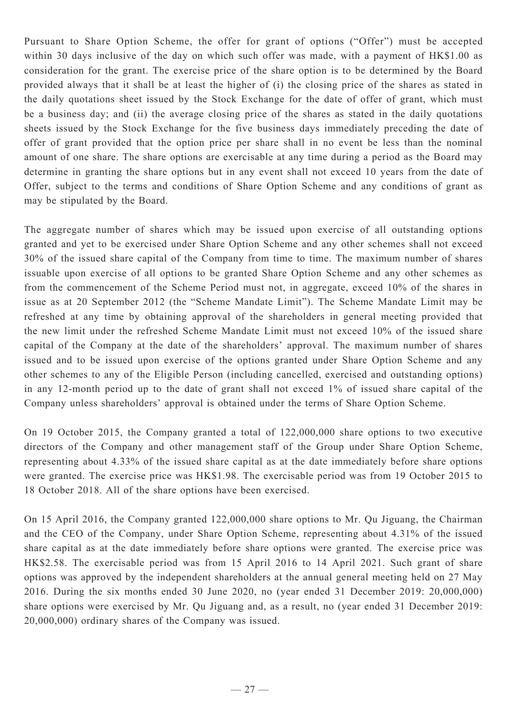Pursuant to Share Option Scheme, the offer for grant of options ("Offer") must be accepted within 30 days inclusive of the day on which such offer was made, with a payment of HK\$1.00 as consideration for the grant. The exercise price of the share option is to be determined by the Board provided always that it shall be at least the higher of (i) the closing price of the shares as stated in the daily quotations sheet issued by the Stock Exchange for the date of offer of grant, which must be a business day; and (ii) the average closing price of the shares as stated in the daily quotations sheets issued by the Stock Exchange for the five business days immediately preceding the date of offer of grant provided that the option price per share shall in no event be less than the nominal amount of one share. The share options are exercisable at any time during a period as the Board may determine in granting the share options but in any event shall not exceed 10 years from the date of Offer, subject to the terms and conditions of Share Option Scheme and any conditions of grant as may be stipulated by the Board.

The aggregate number of shares which may be issued upon exercise of all outstanding options granted and yet to be exercised under Share Option Scheme and any other schemes shall not exceed 30% of the issued share capital of the Company from time to time. The maximum number of shares issuable upon exercise of all options to be granted Share Option Scheme and any other schemes as from the commencement of the Scheme Period must not, in aggregate, exceed 10% of the shares in issue as at 20 September 2012 (the "Scheme Mandate Limit"). The Scheme Mandate Limit may be refreshed at any time by obtaining approval of the shareholders in general meeting provided that the new limit under the refreshed Scheme Mandate Limit must not exceed 10% of the issued share capital of the Company at the date of the shareholders' approval. The maximum number of shares issued and to be issued upon exercise of the options granted under Share Option Scheme and any other schemes to any of the Eligible Person (including cancelled, exercised and outstanding options) in any 12-month period up to the date of grant shall not exceed 1% of issued share capital of the Company unless shareholders' approval is obtained under the terms of Share Option Scheme.

On 19 October 2015, the Company granted a total of 122,000,000 share options to two executive directors of the Company and other management staff of the Group under Share Option Scheme, representing about 4.33% of the issued share capital as at the date immediately before share options were granted. The exercise price was HK\$1.98. The exercisable period was from 19 October 2015 to 18 October 2018. All of the share options have been exercised.

On 15 April 2016, the Company granted 122,000,000 share options to Mr. Qu Jiguang, the Chairman and the CEO of the Company, under Share Option Scheme, representing about 4.31% of the issued share capital as at the date immediately before share options were granted. The exercise price was HK\$2.58. The exercisable period was from 15 April 2016 to 14 April 2021. Such grant of share options was approved by the independent shareholders at the annual general meeting held on 27 May 2016. During the six months ended 30 June 2020, no (year ended 31 December 2019: 20,000,000) share options were exercised by Mr. Qu Jiguang and, as a result, no (year ended 31 December 2019: 20,000,000) ordinary shares of the Company was issued.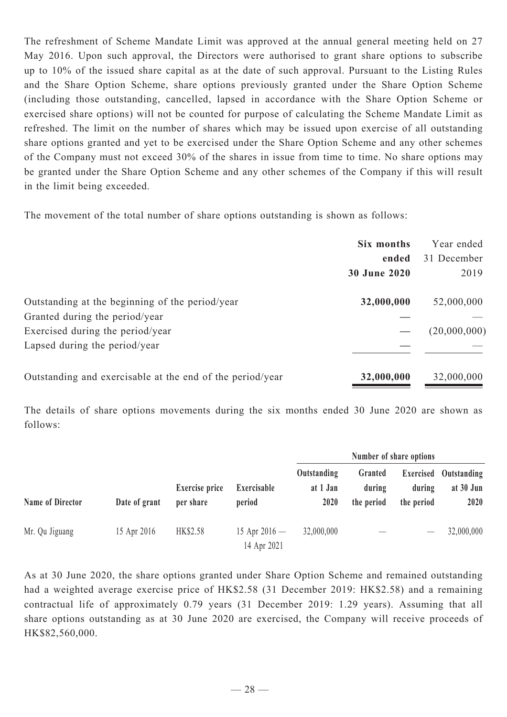The refreshment of Scheme Mandate Limit was approved at the annual general meeting held on 27 May 2016. Upon such approval, the Directors were authorised to grant share options to subscribe up to 10% of the issued share capital as at the date of such approval. Pursuant to the Listing Rules and the Share Option Scheme, share options previously granted under the Share Option Scheme (including those outstanding, cancelled, lapsed in accordance with the Share Option Scheme or exercised share options) will not be counted for purpose of calculating the Scheme Mandate Limit as refreshed. The limit on the number of shares which may be issued upon exercise of all outstanding share options granted and yet to be exercised under the Share Option Scheme and any other schemes of the Company must not exceed 30% of the shares in issue from time to time. No share options may be granted under the Share Option Scheme and any other schemes of the Company if this will result in the limit being exceeded.

The movement of the total number of share options outstanding is shown as follows:

|                                                           | Six months          | Year ended   |
|-----------------------------------------------------------|---------------------|--------------|
|                                                           | ended               | 31 December  |
|                                                           | <b>30 June 2020</b> | 2019         |
| Outstanding at the beginning of the period/year           | 32,000,000          | 52,000,000   |
| Granted during the period/year                            |                     |              |
| Exercised during the period/year                          |                     | (20,000,000) |
| Lapsed during the period/year                             |                     |              |
| Outstanding and exercisable at the end of the period/year | 32,000,000          | 32,000,000   |

The details of share options movements during the six months ended 30 June 2020 are shown as follows:

| Name of Director |               |                                    |                                |                                 | Number of share options         |                                   |                                  |
|------------------|---------------|------------------------------------|--------------------------------|---------------------------------|---------------------------------|-----------------------------------|----------------------------------|
|                  | Date of grant | <b>Exercise</b> price<br>per share | Exercisable<br>period          | Outstanding<br>at 1 Jan<br>2020 | Granted<br>during<br>the period | Exercised<br>during<br>the period | Outstanding<br>at 30 Jun<br>2020 |
| Mr. Qu Jiguang   | 15 Apr 2016   | HK\$2.58                           | 15 Apr $2016 -$<br>14 Apr 2021 | 32,000,000                      |                                 |                                   | 32,000,000                       |

As at 30 June 2020, the share options granted under Share Option Scheme and remained outstanding had a weighted average exercise price of HK\$2.58 (31 December 2019: HK\$2.58) and a remaining contractual life of approximately 0.79 years (31 December 2019: 1.29 years). Assuming that all share options outstanding as at 30 June 2020 are exercised, the Company will receive proceeds of HK\$82,560,000.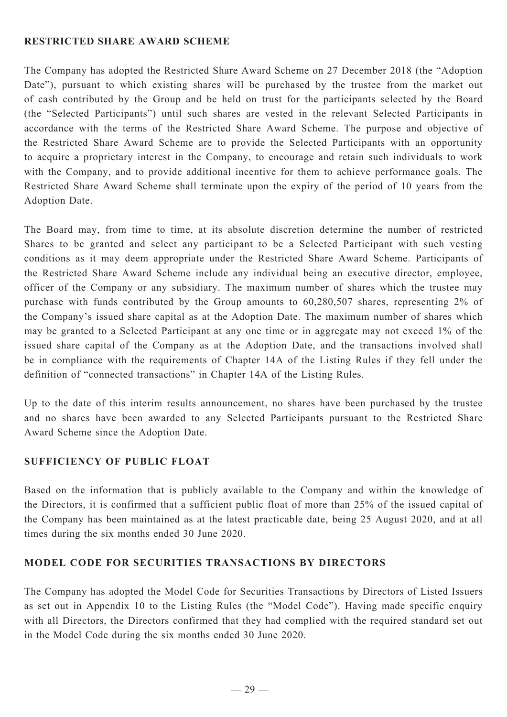### **RESTRICTED SHARE AWARD SCHEME**

The Company has adopted the Restricted Share Award Scheme on 27 December 2018 (the "Adoption Date"), pursuant to which existing shares will be purchased by the trustee from the market out of cash contributed by the Group and be held on trust for the participants selected by the Board (the "Selected Participants") until such shares are vested in the relevant Selected Participants in accordance with the terms of the Restricted Share Award Scheme. The purpose and objective of the Restricted Share Award Scheme are to provide the Selected Participants with an opportunity to acquire a proprietary interest in the Company, to encourage and retain such individuals to work with the Company, and to provide additional incentive for them to achieve performance goals. The Restricted Share Award Scheme shall terminate upon the expiry of the period of 10 years from the Adoption Date.

The Board may, from time to time, at its absolute discretion determine the number of restricted Shares to be granted and select any participant to be a Selected Participant with such vesting conditions as it may deem appropriate under the Restricted Share Award Scheme. Participants of the Restricted Share Award Scheme include any individual being an executive director, employee, officer of the Company or any subsidiary. The maximum number of shares which the trustee may purchase with funds contributed by the Group amounts to 60,280,507 shares, representing 2% of the Company's issued share capital as at the Adoption Date. The maximum number of shares which may be granted to a Selected Participant at any one time or in aggregate may not exceed 1% of the issued share capital of the Company as at the Adoption Date, and the transactions involved shall be in compliance with the requirements of Chapter 14A of the Listing Rules if they fell under the definition of "connected transactions" in Chapter 14A of the Listing Rules.

Up to the date of this interim results announcement, no shares have been purchased by the trustee and no shares have been awarded to any Selected Participants pursuant to the Restricted Share Award Scheme since the Adoption Date.

### **SUFFICIENCY OF PUBLIC FLOAT**

Based on the information that is publicly available to the Company and within the knowledge of the Directors, it is confirmed that a sufficient public float of more than 25% of the issued capital of the Company has been maintained as at the latest practicable date, being 25 August 2020, and at all times during the six months ended 30 June 2020.

### **Model Code for Securities Transactions by Directors**

The Company has adopted the Model Code for Securities Transactions by Directors of Listed Issuers as set out in Appendix 10 to the Listing Rules (the "Model Code"). Having made specific enquiry with all Directors, the Directors confirmed that they had complied with the required standard set out in the Model Code during the six months ended 30 June 2020.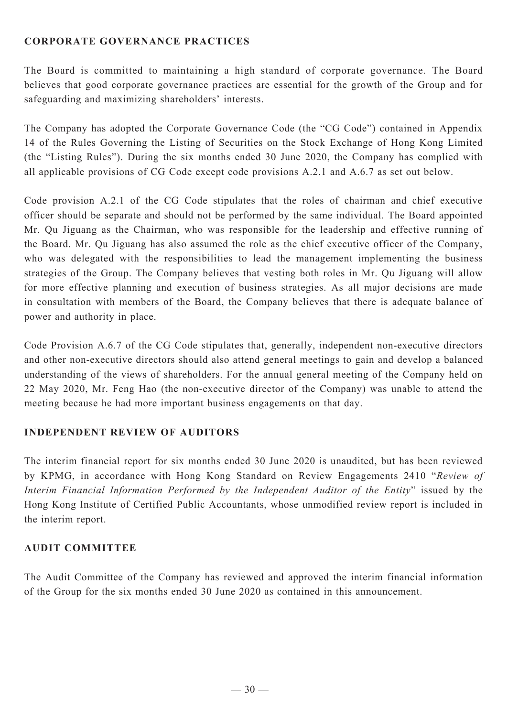# **Corporate Governance Practices**

The Board is committed to maintaining a high standard of corporate governance. The Board believes that good corporate governance practices are essential for the growth of the Group and for safeguarding and maximizing shareholders' interests.

The Company has adopted the Corporate Governance Code (the "CG Code") contained in Appendix 14 of the Rules Governing the Listing of Securities on the Stock Exchange of Hong Kong Limited (the "Listing Rules"). During the six months ended 30 June 2020, the Company has complied with all applicable provisions of CG Code except code provisions A.2.1 and A.6.7 as set out below.

Code provision A.2.1 of the CG Code stipulates that the roles of chairman and chief executive officer should be separate and should not be performed by the same individual. The Board appointed Mr. Qu Jiguang as the Chairman, who was responsible for the leadership and effective running of the Board. Mr. Qu Jiguang has also assumed the role as the chief executive officer of the Company, who was delegated with the responsibilities to lead the management implementing the business strategies of the Group. The Company believes that vesting both roles in Mr. Qu Jiguang will allow for more effective planning and execution of business strategies. As all major decisions are made in consultation with members of the Board, the Company believes that there is adequate balance of power and authority in place.

Code Provision A.6.7 of the CG Code stipulates that, generally, independent non-executive directors and other non-executive directors should also attend general meetings to gain and develop a balanced understanding of the views of shareholders. For the annual general meeting of the Company held on 22 May 2020, Mr. Feng Hao (the non-executive director of the Company) was unable to attend the meeting because he had more important business engagements on that day.

### **INDEPENDENT REVIEW OF AUDITORS**

The interim financial report for six months ended 30 June 2020 is unaudited, but has been reviewed by KPMG, in accordance with Hong Kong Standard on Review Engagements 2410 "*Review of Interim Financial Information Performed by the Independent Auditor of the Entity*" issued by the Hong Kong Institute of Certified Public Accountants, whose unmodified review report is included in the interim report.

# **AUDIT COMMITTEE**

The Audit Committee of the Company has reviewed and approved the interim financial information of the Group for the six months ended 30 June 2020 as contained in this announcement.